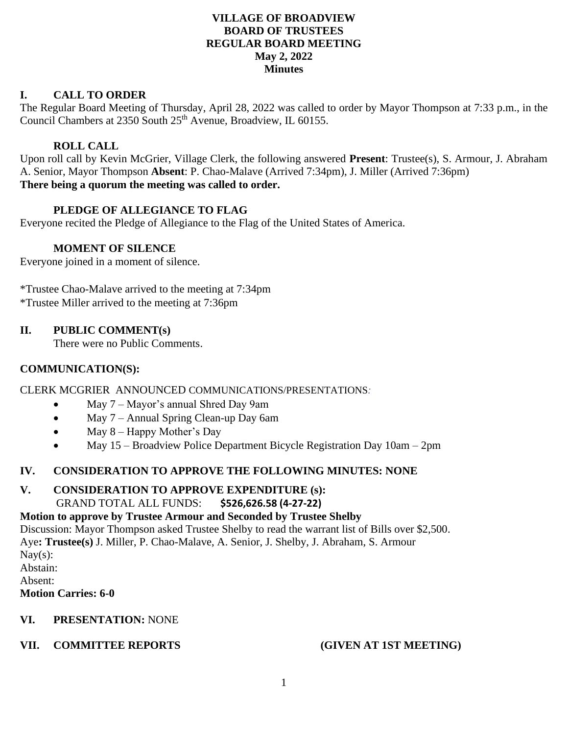## **VILLAGE OF BROADVIEW BOARD OF TRUSTEES REGULAR BOARD MEETING May 2, 2022 Minutes**

# **I. CALL TO ORDER**

The Regular Board Meeting of Thursday, April 28, 2022 was called to order by Mayor Thompson at 7:33 p.m., in the Council Chambers at 2350 South 25<sup>th</sup> Avenue, Broadview, IL 60155.

# **ROLL CALL**

Upon roll call by Kevin McGrier, Village Clerk, the following answered **Present**: Trustee(s), S. Armour, J. Abraham A. Senior, Mayor Thompson **Absent**: P. Chao-Malave (Arrived 7:34pm), J. Miller (Arrived 7:36pm) **There being a quorum the meeting was called to order.**

# **PLEDGE OF ALLEGIANCE TO FLAG**

Everyone recited the Pledge of Allegiance to the Flag of the United States of America.

## **MOMENT OF SILENCE**

Everyone joined in a moment of silence.

\*Trustee Chao-Malave arrived to the meeting at 7:34pm \*Trustee Miller arrived to the meeting at 7:36pm

## **II. PUBLIC COMMENT(s)**

There were no Public Comments.

## **COMMUNICATION(S):**

CLERK MCGRIER ANNOUNCED COMMUNICATIONS/PRESENTATIONS*:*

- May 7 Mayor's annual Shred Day 9am
- May 7 Annual Spring Clean-up Day 6am
- May  $8 -$  Happy Mother's Day
- May 15 Broadview Police Department Bicycle Registration Day 10am 2pm

## **IV. CONSIDERATION TO APPROVE THE FOLLOWING MINUTES: NONE**

# **V. CONSIDERATION TO APPROVE EXPENDITURE (s):**

GRAND TOTAL ALL FUNDS: **\$526,626.58 (4-27-22)** 

# **Motion to approve by Trustee Armour and Seconded by Trustee Shelby**

Discussion: Mayor Thompson asked Trustee Shelby to read the warrant list of Bills over \$2,500. Aye**: Trustee(s)** J. Miller, P. Chao-Malave, A. Senior, J. Shelby, J. Abraham, S. Armour Nay $(s)$ : Abstain: Absent: **Motion Carries: 6-0**

# **VI. PRESENTATION:** NONE

# **VII. COMMITTEE REPORTS (GIVEN AT 1ST MEETING)**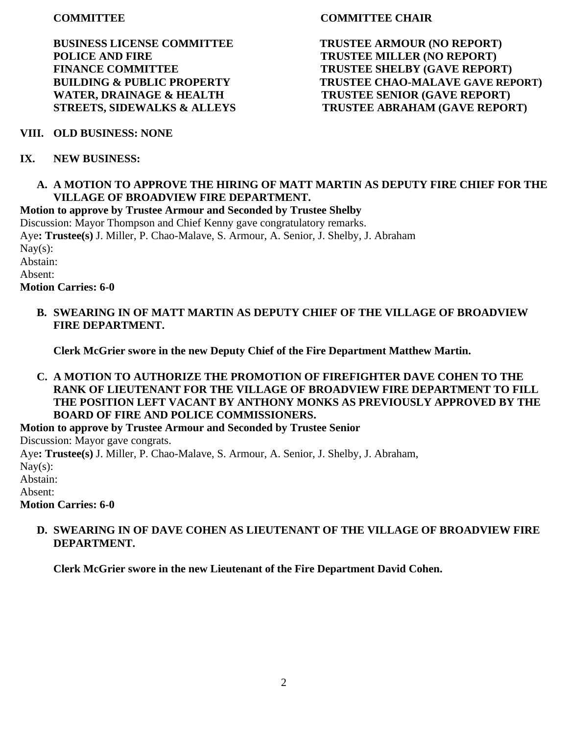**BUSINESS LICENSE COMMITTEE TRUSTEE ARMOUR (NO REPORT) POLICE AND FIRE TRUSTEE MILLER (NO REPORT)** 

## **COMMITTEE CHAIR**

FINANCE COMMITTEE TRUSTEE SHELBY (GAVE REPORT) **BUILDING & PUBLIC PROPERTY TRUSTEE CHAO-MALAVE GAVE REPORT) WATER, DRAINAGE & HEALTH TRUSTEE SENIOR (GAVE REPORT) STREETS, SIDEWALKS & ALLEYS TRUSTEE ABRAHAM (GAVE REPORT)** 

## **VIII. OLD BUSINESS: NONE**

## **IX. NEW BUSINESS:**

#### **A. A MOTION TO APPROVE THE HIRING OF MATT MARTIN AS DEPUTY FIRE CHIEF FOR THE VILLAGE OF BROADVIEW FIRE DEPARTMENT.**

**Motion to approve by Trustee Armour and Seconded by Trustee Shelby**

Discussion: Mayor Thompson and Chief Kenny gave congratulatory remarks. Aye**: Trustee(s)** J. Miller, P. Chao-Malave, S. Armour, A. Senior, J. Shelby, J. Abraham  $\text{Nav}(s)$ :

Abstain:

Absent:

**Motion Carries: 6-0**

**B. SWEARING IN OF MATT MARTIN AS DEPUTY CHIEF OF THE VILLAGE OF BROADVIEW FIRE DEPARTMENT.**

**Clerk McGrier swore in the new Deputy Chief of the Fire Department Matthew Martin.**

**C. A MOTION TO AUTHORIZE THE PROMOTION OF FIREFIGHTER DAVE COHEN TO THE RANK OF LIEUTENANT FOR THE VILLAGE OF BROADVIEW FIRE DEPARTMENT TO FILL THE POSITION LEFT VACANT BY ANTHONY MONKS AS PREVIOUSLY APPROVED BY THE BOARD OF FIRE AND POLICE COMMISSIONERS.**

**Motion to approve by Trustee Armour and Seconded by Trustee Senior**

Discussion: Mayor gave congrats.

Aye**: Trustee(s)** J. Miller, P. Chao-Malave, S. Armour, A. Senior, J. Shelby, J. Abraham,

Nay $(s)$ :

Abstain:

Absent:

**Motion Carries: 6-0**

## **D. SWEARING IN OF DAVE COHEN AS LIEUTENANT OF THE VILLAGE OF BROADVIEW FIRE DEPARTMENT.**

**Clerk McGrier swore in the new Lieutenant of the Fire Department David Cohen.**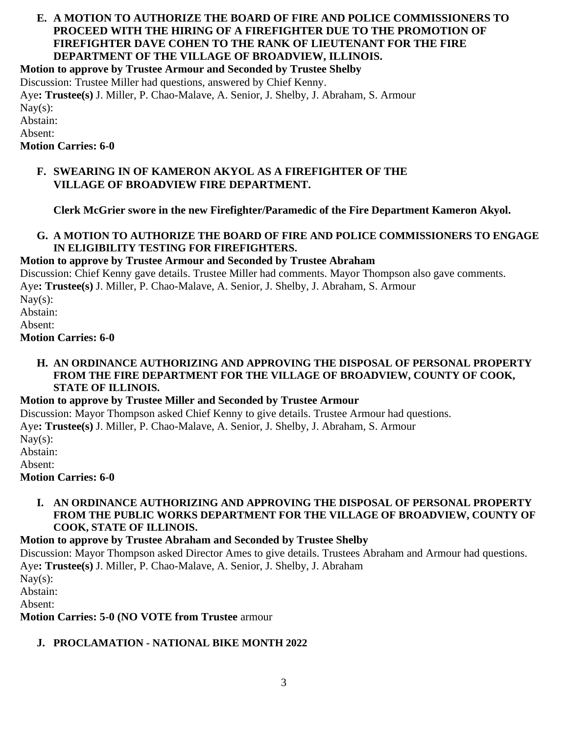# **E. A MOTION TO AUTHORIZE THE BOARD OF FIRE AND POLICE COMMISSIONERS TO PROCEED WITH THE HIRING OF A FIREFIGHTER DUE TO THE PROMOTION OF FIREFIGHTER DAVE COHEN TO THE RANK OF LIEUTENANT FOR THE FIRE DEPARTMENT OF THE VILLAGE OF BROADVIEW, ILLINOIS.**

**Motion to approve by Trustee Armour and Seconded by Trustee Shelby**

Discussion: Trustee Miller had questions, answered by Chief Kenny.

Aye**: Trustee(s)** J. Miller, P. Chao-Malave, A. Senior, J. Shelby, J. Abraham, S. Armour Nay $(s)$ : Abstain:

Absent:

**Motion Carries: 6-0**

## **F. SWEARING IN OF KAMERON AKYOL AS A FIREFIGHTER OF THE VILLAGE OF BROADVIEW FIRE DEPARTMENT.**

**Clerk McGrier swore in the new Firefighter/Paramedic of the Fire Department Kameron Akyol.**

## **G. A MOTION TO AUTHORIZE THE BOARD OF FIRE AND POLICE COMMISSIONERS TO ENGAGE IN ELIGIBILITY TESTING FOR FIREFIGHTERS.**

# **Motion to approve by Trustee Armour and Seconded by Trustee Abraham**

Discussion: Chief Kenny gave details. Trustee Miller had comments. Mayor Thompson also gave comments. Aye**: Trustee(s)** J. Miller, P. Chao-Malave, A. Senior, J. Shelby, J. Abraham, S. Armour Nay $(s)$ : Abstain:

Absent:

**Motion Carries: 6-0**

### **H. AN ORDINANCE AUTHORIZING AND APPROVING THE DISPOSAL OF PERSONAL PROPERTY FROM THE FIRE DEPARTMENT FOR THE VILLAGE OF BROADVIEW, COUNTY OF COOK, STATE OF ILLINOIS.**

# **Motion to approve by Trustee Miller and Seconded by Trustee Armour**

Discussion: Mayor Thompson asked Chief Kenny to give details. Trustee Armour had questions. Aye**: Trustee(s)** J. Miller, P. Chao-Malave, A. Senior, J. Shelby, J. Abraham, S. Armour  $\text{Nay}(s)$ : Abstain:

Absent:

**Motion Carries: 6-0**

### **I. AN ORDINANCE AUTHORIZING AND APPROVING THE DISPOSAL OF PERSONAL PROPERTY FROM THE PUBLIC WORKS DEPARTMENT FOR THE VILLAGE OF BROADVIEW, COUNTY OF COOK, STATE OF ILLINOIS.**

# **Motion to approve by Trustee Abraham and Seconded by Trustee Shelby**

Discussion: Mayor Thompson asked Director Ames to give details. Trustees Abraham and Armour had questions. Aye**: Trustee(s)** J. Miller, P. Chao-Malave, A. Senior, J. Shelby, J. Abraham

 $\text{Nay}(s)$ :

Abstain:

Absent:

**Motion Carries: 5-0 (NO VOTE from Trustee** armour

# **J. PROCLAMATION - NATIONAL BIKE MONTH 2022**